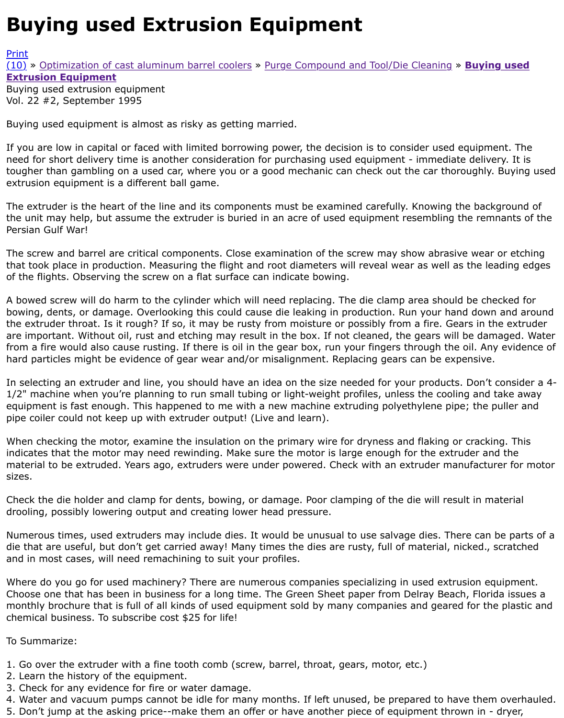## Vol. 22 #2, September 1995

Buying used equipment is almost as risky as getting married.

[If you](http://extrusionwiki.com/wiki/Print.aspx?Page=CC-V22-2-D) are low in capital or faced with limited borrowing power, the decision is to consider used equi [need](http://extrusionwiki.com/wiki/CC-V22-2-D.ashx#) f[or short delivery time is another consideration](http://extrusionwiki.com/wiki/CC-V22-2-B.ashx) f[or purchasing used equipment - immedia](http://extrusionwiki.com/wiki/CC-V22-2-C.ashx)te de tougher than gambling on a used car, where you or a good mechanic can check out the car thorough extrusion equipment is a different ball game.

The extruder is the heart of the line and its components must be examined carefully. Knowing the b the unit may help, but assume the extruder is buried in an acre of used equipment resembling the r Persian Gulf War!

The screw and barrel are critical components. Close examination of the screw may show abrasive w that took place in production. Measuring the flight and root diameters will reveal wear as well as the of the flights. Observing the screw on a flat surface can indicate bowing.

A bowed screw will do harm to the cylinder which will need replacing. The die clamp area should be bowing, dents, or damage. Overlooking this could cause die leaking in production. Run your hand do the extruder throat. Is it rough? If so, it may be rusty from moisture or possibly from a fire. Gears i are important. Without oil, rust and etching may result in the box. If not cleaned, the gears will be down from a fire would also cause rusting. If there is oil in the gear box, run your fingers through the oil. hard particles might be evidence of gear wear and/or misalignment. Replacing gears can be expens

In selecting an extruder and line, you should have an idea on the size needed for your products. Do 1/2" machine when you're planning to run small tubing or light-weight profiles, unless the cooling a equipment is fast enough. This happened to me with a new machine extruding polyethylene pipe; the pipe coiler could not keep up with extruder output! (Live and learn).

When checking the motor, examine the insulation on the primary wire for dryness and flaking or cra indicates that the motor may need rewinding. Make sure the motor is large enough for the extruder material to be extruded. Years ago, extruders were under powered. Check with an extruder manufa sizes.

Check the die holder and clamp for dents, bowing, or damage. Poor clamping of the die will result in drooling, possibly lowering output and creating lower head pressure.

Numerous times, used extruders may include dies. It would be unusual to use salvage dies. There c die that are useful, but don't get carried away! Many times the dies are rusty, full of material, nicke and in most cases, will need remachining to suit your profiles.

Where do you go for used machinery? There are numerous companies specializing in used extrusior Choose one that has been in business for a long time. The Green Sheet paper from Delray Beach, F monthly brochure that is full of all kinds of used equipment sold by many companies and geared for chemical business. To subscribe cost \$25 for life!

To Summarize:

- 1. Go over the extruder with a fine tooth comb (screw, barrel, throat, gears, motor, etc.)
- 2. Learn the history of the equipment.
- 3. Check for any evidence for fire or water damage.
- 4. Water and vacuum pumps cannot be idle for many months. If left unused, be prepared to have th
- 5. Don't jump at the asking price--make them an offer or have another piece of equipment thrown in